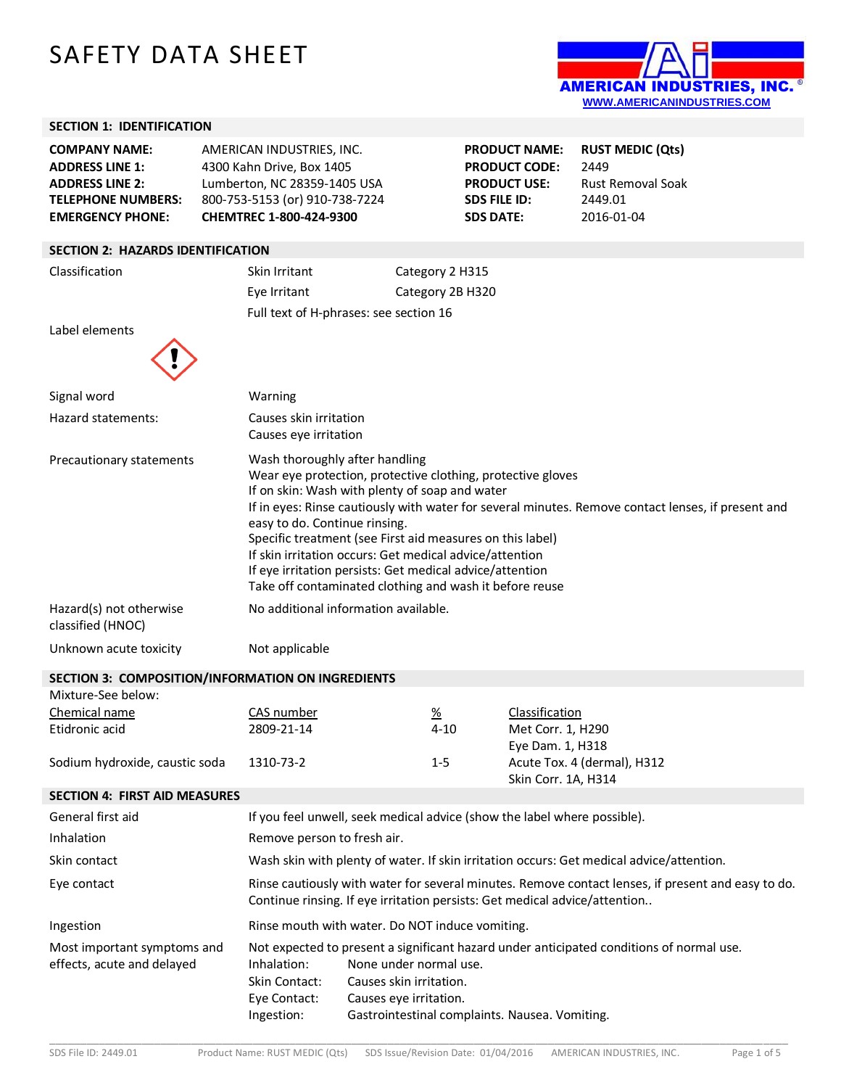# SAFETY DATA SHEET



**PRODUCT NAME: RUST MEDIC (Qts)**

**PRODUCT USE:** Rust Removal Soak

**PRODUCT CODE:** 2449

**SDS FILE ID:** 2449.01 **SDS DATE:** 2016-01-04

### **SECTION 1: IDENTIFICATION**

| <b>COMPANY NAME:</b>      | AMERICAN INDUSTRIES, INC.      |
|---------------------------|--------------------------------|
| <b>ADDRESS LINE 1:</b>    | 4300 Kahn Drive, Box 1405      |
| <b>ADDRESS LINE 2:</b>    | Lumberton, NC 28359-1405 USA   |
| <b>TELEPHONE NUMBERS:</b> | 800-753-5153 (or) 910-738-7224 |
| <b>EMERGENCY PHONE:</b>   | CHEMTREC 1-800-424-9300        |

### **SECTION 2: HAZARDS IDENTIFICATION**

Classification Skin Irritant Category 2 H315 Eye Irritant Category 2B H320 Full text of H-phrases: see section 16

Label elements



| Chemical name                  | CAS number | 70      | CidSSIIICdUOII              |
|--------------------------------|------------|---------|-----------------------------|
| Etidronic acid                 | 2809-21-14 | 4-10    | Met Corr. 1, H290           |
|                                |            |         | Eye Dam. 1, H318            |
| Sodium hydroxide, caustic soda | 1310-73-2  | $1 - 5$ | Acute Tox. 4 (dermal), H312 |
|                                |            |         | Skin Corr. 1A, H314         |

## **SECTION 4: FIRST AID MEASURES**

| General first aid                                         |                                                            | If you feel unwell, seek medical advice (show the label where possible).                                                                                                                                                  |
|-----------------------------------------------------------|------------------------------------------------------------|---------------------------------------------------------------------------------------------------------------------------------------------------------------------------------------------------------------------------|
| Inhalation                                                | Remove person to fresh air.                                |                                                                                                                                                                                                                           |
| Skin contact                                              |                                                            | Wash skin with plenty of water. If skin irritation occurs: Get medical advice/attention.                                                                                                                                  |
| Eye contact                                               |                                                            | Rinse cautiously with water for several minutes. Remove contact lenses, if present and easy to do.<br>Continue rinsing. If eye irritation persists: Get medical advice/attention                                          |
| Ingestion                                                 |                                                            | Rinse mouth with water. Do NOT induce vomiting.                                                                                                                                                                           |
| Most important symptoms and<br>effects, acute and delayed | Inhalation:<br>Skin Contact:<br>Eye Contact:<br>Ingestion: | Not expected to present a significant hazard under anticipated conditions of normal use.<br>None under normal use.<br>Causes skin irritation.<br>Causes eye irritation.<br>Gastrointestinal complaints. Nausea. Vomiting. |

\_\_\_\_\_\_\_\_\_\_\_\_\_\_\_\_\_\_\_\_\_\_\_\_\_\_\_\_\_\_\_\_\_\_\_\_\_\_\_\_\_\_\_\_\_\_\_\_\_\_\_\_\_\_\_\_\_\_\_\_\_\_\_\_\_\_\_\_\_\_\_\_\_\_\_\_\_\_\_\_\_\_\_\_\_\_\_\_\_\_\_\_\_\_\_\_\_\_\_\_\_\_\_\_\_\_\_\_\_\_\_\_\_\_\_\_\_\_\_\_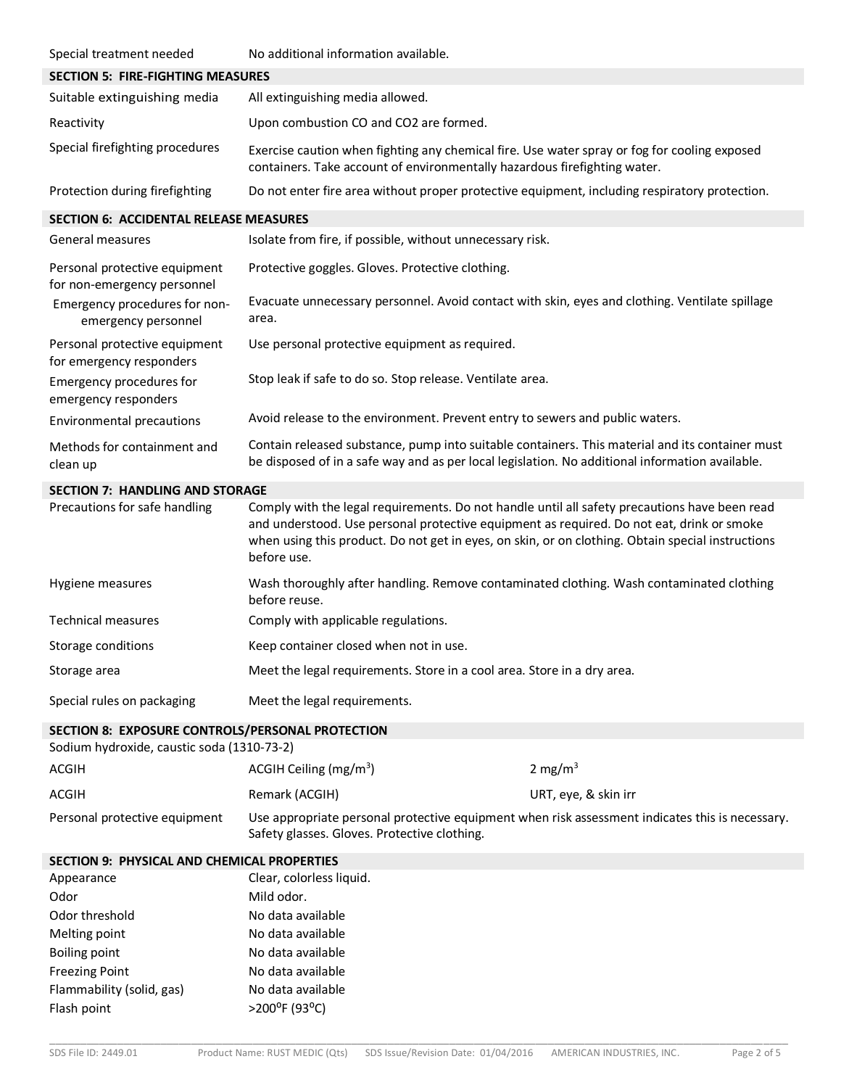| Special treatment needed                                                                       | No additional information available.                                                                                                                                                                                                                                                                           |                      |
|------------------------------------------------------------------------------------------------|----------------------------------------------------------------------------------------------------------------------------------------------------------------------------------------------------------------------------------------------------------------------------------------------------------------|----------------------|
| <b>SECTION 5: FIRE-FIGHTING MEASURES</b>                                                       |                                                                                                                                                                                                                                                                                                                |                      |
| Suitable extinguishing media                                                                   | All extinguishing media allowed.                                                                                                                                                                                                                                                                               |                      |
| Reactivity                                                                                     | Upon combustion CO and CO2 are formed.                                                                                                                                                                                                                                                                         |                      |
| Special firefighting procedures                                                                | Exercise caution when fighting any chemical fire. Use water spray or fog for cooling exposed<br>containers. Take account of environmentally hazardous firefighting water.                                                                                                                                      |                      |
| Protection during firefighting                                                                 | Do not enter fire area without proper protective equipment, including respiratory protection.                                                                                                                                                                                                                  |                      |
| <b>SECTION 6: ACCIDENTAL RELEASE MEASURES</b>                                                  |                                                                                                                                                                                                                                                                                                                |                      |
| General measures                                                                               | Isolate from fire, if possible, without unnecessary risk.                                                                                                                                                                                                                                                      |                      |
| Personal protective equipment<br>for non-emergency personnel                                   | Protective goggles. Gloves. Protective clothing.                                                                                                                                                                                                                                                               |                      |
| Emergency procedures for non-<br>emergency personnel                                           | Evacuate unnecessary personnel. Avoid contact with skin, eyes and clothing. Ventilate spillage<br>area.                                                                                                                                                                                                        |                      |
| Personal protective equipment<br>for emergency responders                                      | Use personal protective equipment as required.                                                                                                                                                                                                                                                                 |                      |
| Emergency procedures for<br>emergency responders                                               | Stop leak if safe to do so. Stop release. Ventilate area.                                                                                                                                                                                                                                                      |                      |
| Environmental precautions                                                                      | Avoid release to the environment. Prevent entry to sewers and public waters.                                                                                                                                                                                                                                   |                      |
| Methods for containment and<br>clean up                                                        | Contain released substance, pump into suitable containers. This material and its container must<br>be disposed of in a safe way and as per local legislation. No additional information available.                                                                                                             |                      |
| <b>SECTION 7: HANDLING AND STORAGE</b>                                                         |                                                                                                                                                                                                                                                                                                                |                      |
| Precautions for safe handling                                                                  | Comply with the legal requirements. Do not handle until all safety precautions have been read<br>and understood. Use personal protective equipment as required. Do not eat, drink or smoke<br>when using this product. Do not get in eyes, on skin, or on clothing. Obtain special instructions<br>before use. |                      |
| Hygiene measures                                                                               | Wash thoroughly after handling. Remove contaminated clothing. Wash contaminated clothing<br>before reuse.                                                                                                                                                                                                      |                      |
| <b>Technical measures</b>                                                                      | Comply with applicable regulations.                                                                                                                                                                                                                                                                            |                      |
| Storage conditions                                                                             | Keep container closed when not in use.                                                                                                                                                                                                                                                                         |                      |
| Storage area                                                                                   | Meet the legal requirements. Store in a cool area. Store in a dry area.                                                                                                                                                                                                                                        |                      |
| Special rules on packaging                                                                     | Meet the legal requirements.                                                                                                                                                                                                                                                                                   |                      |
| SECTION 8: EXPOSURE CONTROLS/PERSONAL PROTECTION<br>Sodium hydroxide, caustic soda (1310-73-2) |                                                                                                                                                                                                                                                                                                                |                      |
| <b>ACGIH</b>                                                                                   | ACGIH Ceiling (mg/m <sup>3</sup> )                                                                                                                                                                                                                                                                             | 2 mg/m $3$           |
| <b>ACGIH</b>                                                                                   | Remark (ACGIH)                                                                                                                                                                                                                                                                                                 | URT, eye, & skin irr |
| Personal protective equipment                                                                  | Use appropriate personal protective equipment when risk assessment indicates this is necessary.<br>Safety glasses. Gloves. Protective clothing.                                                                                                                                                                |                      |
| SECTION 9: PHYSICAL AND CHEMICAL PROPERTIES                                                    |                                                                                                                                                                                                                                                                                                                |                      |
| Appearance                                                                                     | Clear, colorless liquid.                                                                                                                                                                                                                                                                                       |                      |
| Odor                                                                                           | Mild odor.                                                                                                                                                                                                                                                                                                     |                      |
| Odor threshold                                                                                 | No data available                                                                                                                                                                                                                                                                                              |                      |
| Melting point                                                                                  | No data available                                                                                                                                                                                                                                                                                              |                      |
| <b>Boiling point</b>                                                                           | No data available                                                                                                                                                                                                                                                                                              |                      |
| <b>Freezing Point</b>                                                                          | No data available                                                                                                                                                                                                                                                                                              |                      |
| Flammability (solid, gas)                                                                      | No data available                                                                                                                                                                                                                                                                                              |                      |
| Flash point                                                                                    | >200°F (93°C)                                                                                                                                                                                                                                                                                                  |                      |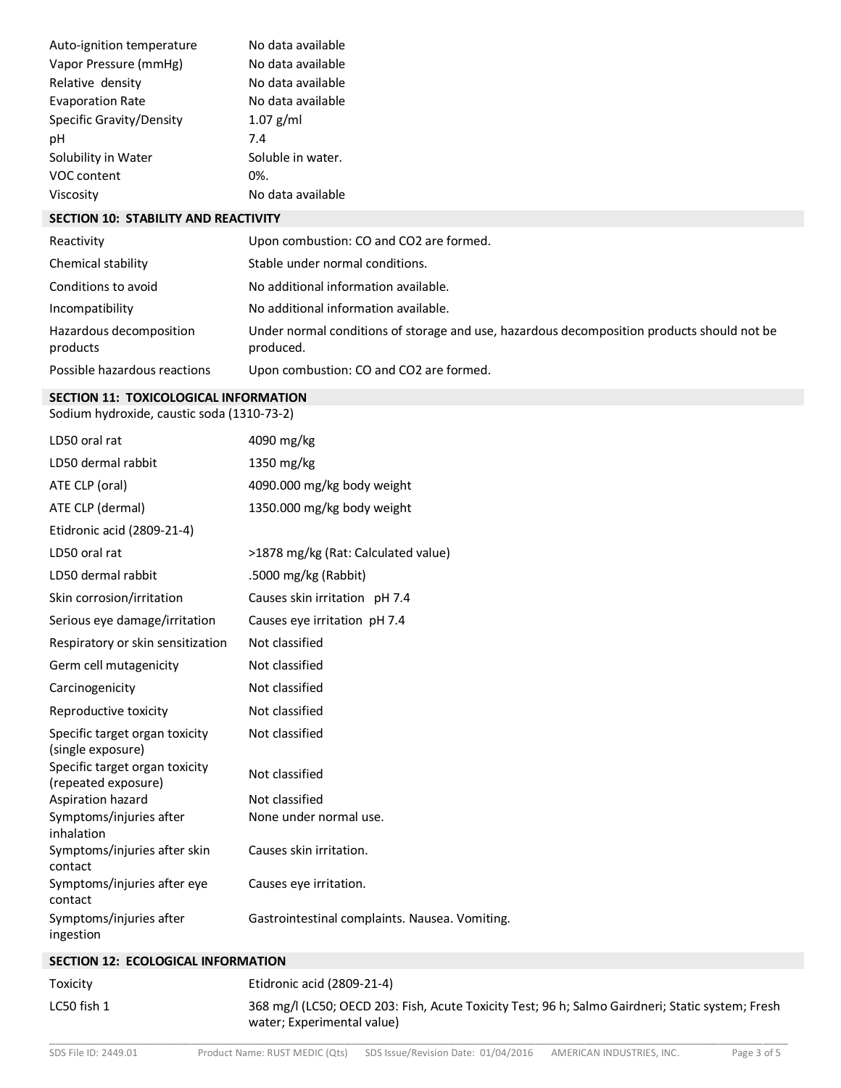| Auto-ignition temperature | No data available |
|---------------------------|-------------------|
| Vapor Pressure (mmHg)     | No data available |
| Relative density          | No data available |
| <b>Evaporation Rate</b>   | No data available |
| Specific Gravity/Density  | $1.07$ g/ml       |
| рH                        | 7.4               |
| Solubility in Water       | Soluble in water. |
| VOC content               | 0%.               |
| Viscosity                 | No data available |

### **SECTION 10: STABILITY AND REACTIVITY**

| Reactivity                          | Upon combustion: CO and CO2 are formed.                                                                 |
|-------------------------------------|---------------------------------------------------------------------------------------------------------|
| Chemical stability                  | Stable under normal conditions.                                                                         |
| Conditions to avoid                 | No additional information available.                                                                    |
| Incompatibility                     | No additional information available.                                                                    |
| Hazardous decomposition<br>products | Under normal conditions of storage and use, hazardous decomposition products should not be<br>produced. |
| Possible hazardous reactions        | Upon combustion: CO and CO2 are formed.                                                                 |

#### **SECTION 11: TOXICOLOGICAL INFORMATION**

Sodium hydroxide, caustic soda (1310-73-2)

| LD50 oral rat                                         | 4090 mg/kg                                     |
|-------------------------------------------------------|------------------------------------------------|
| LD50 dermal rabbit                                    | 1350 mg/kg                                     |
| ATE CLP (oral)                                        | 4090.000 mg/kg body weight                     |
| ATE CLP (dermal)                                      | 1350.000 mg/kg body weight                     |
| Etidronic acid (2809-21-4)                            |                                                |
| LD50 oral rat                                         | >1878 mg/kg (Rat: Calculated value)            |
| LD50 dermal rabbit                                    | .5000 mg/kg (Rabbit)                           |
| Skin corrosion/irritation                             | Causes skin irritation pH 7.4                  |
| Serious eye damage/irritation                         | Causes eye irritation pH 7.4                   |
| Respiratory or skin sensitization                     | Not classified                                 |
| Germ cell mutagenicity                                | Not classified                                 |
| Carcinogenicity                                       | Not classified                                 |
| Reproductive toxicity                                 | Not classified                                 |
| Specific target organ toxicity<br>(single exposure)   | Not classified                                 |
| Specific target organ toxicity<br>(repeated exposure) | Not classified                                 |
| Aspiration hazard                                     | Not classified                                 |
| Symptoms/injuries after<br>inhalation                 | None under normal use.                         |
| Symptoms/injuries after skin<br>contact               | Causes skin irritation.                        |
| Symptoms/injuries after eye<br>contact                | Causes eye irritation.                         |
| Symptoms/injuries after<br>ingestion                  | Gastrointestinal complaints. Nausea. Vomiting. |

# **SECTION 12: ECOLOGICAL INFORMATION**

\_\_\_\_\_\_\_\_\_\_\_\_\_\_\_\_\_\_\_\_\_\_\_\_\_\_\_\_\_\_\_\_\_\_\_\_\_\_\_\_\_\_\_\_\_\_\_\_\_\_\_\_\_\_\_\_\_\_\_\_\_\_\_\_\_\_\_\_\_\_\_\_\_\_\_\_\_\_\_\_\_\_\_\_\_\_\_\_\_\_\_\_\_\_\_\_\_\_\_\_\_\_\_\_\_\_\_\_\_\_\_\_\_\_\_\_\_\_\_\_ Toxicity Etidronic acid (2809-21-4) LC50 fish 1 368 mg/l (LC50; OECD 203: Fish, Acute Toxicity Test; 96 h; Salmo Gairdneri; Static system; Fresh water; Experimental value)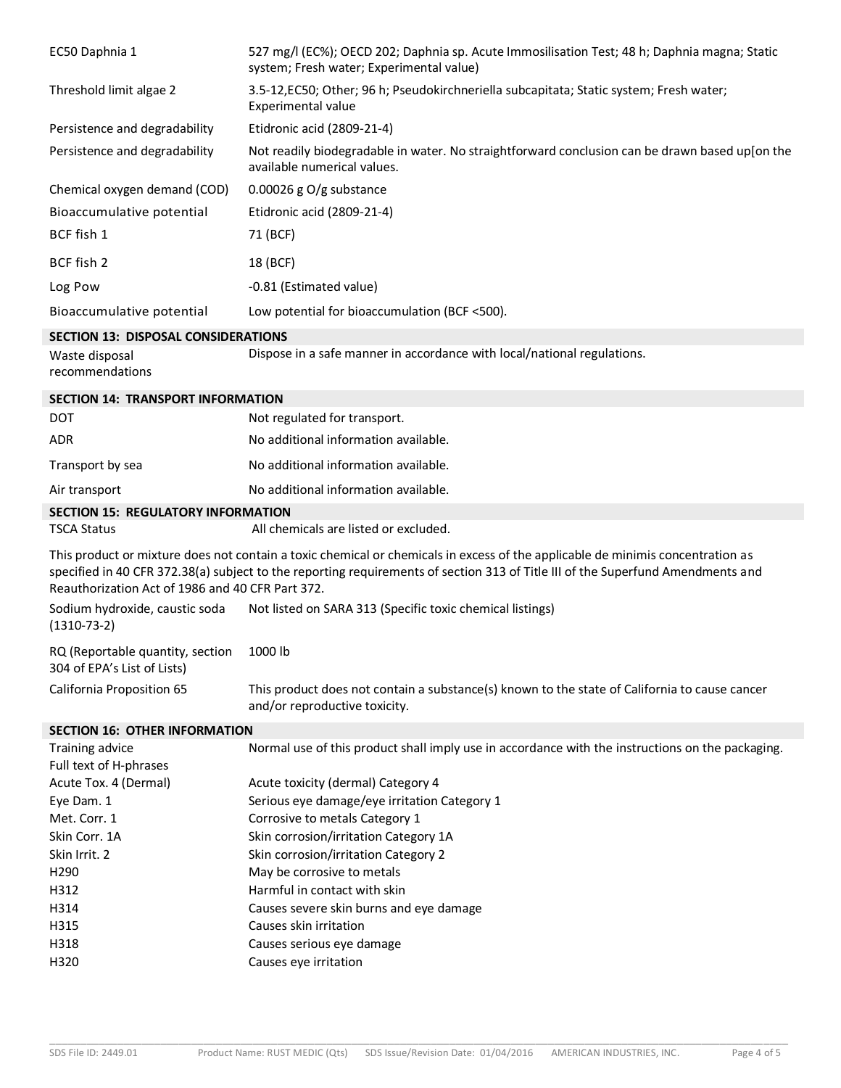| EC50 Daphnia 1                                                  | 527 mg/l (EC%); OECD 202; Daphnia sp. Acute Immosilisation Test; 48 h; Daphnia magna; Static<br>system; Fresh water; Experimental value)                                                                                                                          |
|-----------------------------------------------------------------|-------------------------------------------------------------------------------------------------------------------------------------------------------------------------------------------------------------------------------------------------------------------|
| Threshold limit algae 2                                         | 3.5-12, EC50; Other; 96 h; Pseudokirchneriella subcapitata; Static system; Fresh water;<br>Experimental value                                                                                                                                                     |
| Persistence and degradability                                   | Etidronic acid (2809-21-4)                                                                                                                                                                                                                                        |
| Persistence and degradability                                   | Not readily biodegradable in water. No straightforward conclusion can be drawn based up[on the<br>available numerical values.                                                                                                                                     |
| Chemical oxygen demand (COD)                                    | 0.00026 g $O/g$ substance                                                                                                                                                                                                                                         |
| Bioaccumulative potential                                       | Etidronic acid (2809-21-4)                                                                                                                                                                                                                                        |
| BCF fish 1                                                      | 71 (BCF)                                                                                                                                                                                                                                                          |
| BCF fish 2                                                      | 18 (BCF)                                                                                                                                                                                                                                                          |
| Log Pow                                                         | -0.81 (Estimated value)                                                                                                                                                                                                                                           |
| Bioaccumulative potential                                       | Low potential for bioaccumulation (BCF <500).                                                                                                                                                                                                                     |
| <b>SECTION 13: DISPOSAL CONSIDERATIONS</b>                      |                                                                                                                                                                                                                                                                   |
| Waste disposal<br>recommendations                               | Dispose in a safe manner in accordance with local/national regulations.                                                                                                                                                                                           |
| <b>SECTION 14: TRANSPORT INFORMATION</b>                        |                                                                                                                                                                                                                                                                   |
| <b>DOT</b>                                                      | Not regulated for transport.                                                                                                                                                                                                                                      |
| <b>ADR</b>                                                      | No additional information available.                                                                                                                                                                                                                              |
| Transport by sea                                                | No additional information available.                                                                                                                                                                                                                              |
| Air transport                                                   | No additional information available.                                                                                                                                                                                                                              |
| <b>SECTION 15: REGULATORY INFORMATION</b><br><b>TSCA Status</b> | All chemicals are listed or excluded.                                                                                                                                                                                                                             |
| Reauthorization Act of 1986 and 40 CFR Part 372.                | This product or mixture does not contain a toxic chemical or chemicals in excess of the applicable de minimis concentration as<br>specified in 40 CFR 372.38(a) subject to the reporting requirements of section 313 of Title III of the Superfund Amendments and |
| Sodium hydroxide, caustic soda<br>$(1310-73-2)$                 | Not listed on SARA 313 (Specific toxic chemical listings)                                                                                                                                                                                                         |
| RQ (Reportable quantity, section<br>304 of EPA's List of Lists) | 1000 lb                                                                                                                                                                                                                                                           |
| California Proposition 65                                       | This product does not contain a substance(s) known to the state of California to cause cancer<br>and/or reproductive toxicity.                                                                                                                                    |
| <b>SECTION 16: OTHER INFORMATION</b>                            |                                                                                                                                                                                                                                                                   |
| Training advice                                                 | Normal use of this product shall imply use in accordance with the instructions on the packaging.                                                                                                                                                                  |
| Full text of H-phrases                                          |                                                                                                                                                                                                                                                                   |
| Acute Tox. 4 (Dermal)<br>Eye Dam. 1                             | Acute toxicity (dermal) Category 4<br>Serious eye damage/eye irritation Category 1                                                                                                                                                                                |
| Met. Corr. 1                                                    | Corrosive to metals Category 1                                                                                                                                                                                                                                    |
| Skin Corr. 1A                                                   | Skin corrosion/irritation Category 1A                                                                                                                                                                                                                             |
| Skin Irrit. 2                                                   | Skin corrosion/irritation Category 2                                                                                                                                                                                                                              |
| H290                                                            | May be corrosive to metals                                                                                                                                                                                                                                        |
| H312                                                            | Harmful in contact with skin                                                                                                                                                                                                                                      |
| H314                                                            | Causes severe skin burns and eye damage                                                                                                                                                                                                                           |
| H315                                                            | Causes skin irritation                                                                                                                                                                                                                                            |
| H318                                                            | Causes serious eye damage                                                                                                                                                                                                                                         |
| H320                                                            | Causes eye irritation                                                                                                                                                                                                                                             |

\_\_\_\_\_\_\_\_\_\_\_\_\_\_\_\_\_\_\_\_\_\_\_\_\_\_\_\_\_\_\_\_\_\_\_\_\_\_\_\_\_\_\_\_\_\_\_\_\_\_\_\_\_\_\_\_\_\_\_\_\_\_\_\_\_\_\_\_\_\_\_\_\_\_\_\_\_\_\_\_\_\_\_\_\_\_\_\_\_\_\_\_\_\_\_\_\_\_\_\_\_\_\_\_\_\_\_\_\_\_\_\_\_\_\_\_\_\_\_\_